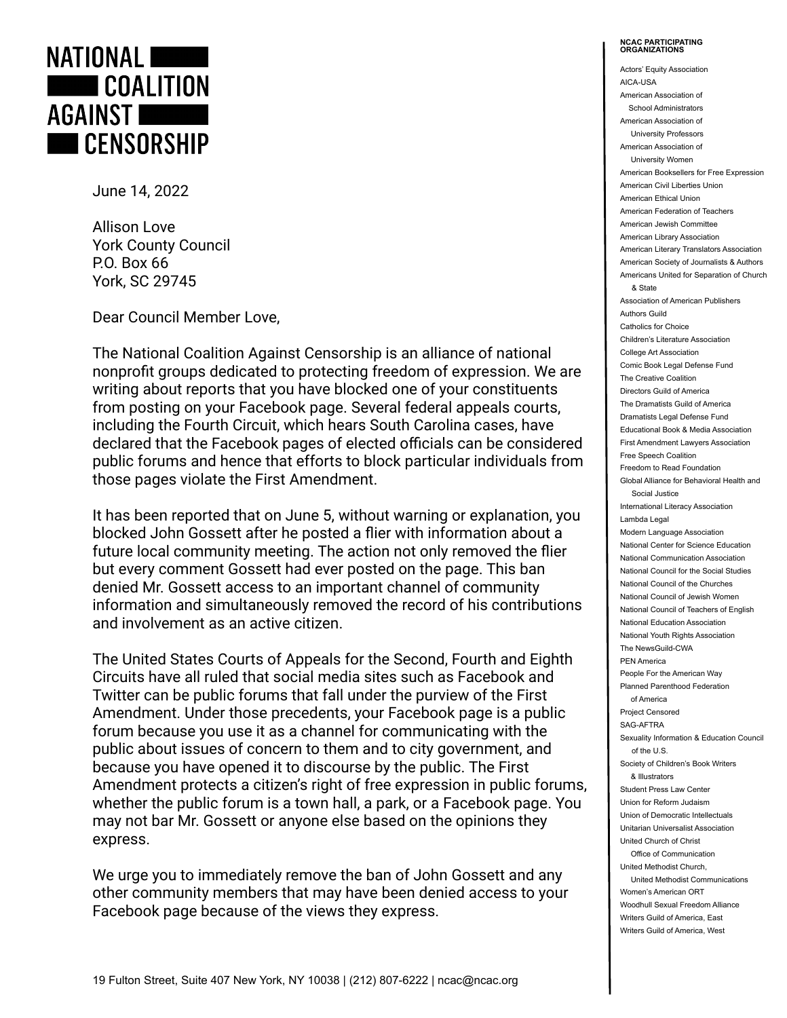

June 14, 2022

Allison Love York County Council P.O. Box 66 York, SC 29745

Dear Council Member Love,

The National Coalition Against Censorship is an alliance of national nonprofit groups dedicated to protecting freedom of expression. We are writing about reports that you have blocked one of your constituents from posting on your Facebook page. Several federal appeals courts, including the Fourth Circuit, which hears South Carolina cases, have declared that the Facebook pages of elected officials can be considered public forums and hence that efforts to block particular individuals from those pages violate the First Amendment.

It has been reported that on June 5, without warning or explanation, you blocked John Gossett after he posted a flier with information about a future local community meeting. The action not only removed the flier but every comment Gossett had ever posted on the page. This ban denied Mr. Gossett access to an important channel of community information and simultaneously removed the record of his contributions and involvement as an active citizen.

The United States Courts of Appeals for the Second, Fourth and Eighth Circuits have all ruled that social media sites such as Facebook and Twitter can be public forums that fall under the purview of the First Amendment. Under those precedents, your Facebook page is a public forum because you use it as a channel for communicating with the public about issues of concern to them and to city government, and because you have opened it to discourse by the public. The First Amendment protects a citizen's right of free expression in public forums, whether the public forum is a town hall, a park, or a Facebook page. You may not bar Mr. Gossett or anyone else based on the opinions they express.

We urge you to immediately remove the ban of John Gossett and any other community members that may have been denied access to your Facebook page because of the views they express.

## **NCAC PARTICIPATING ORGANIZATIONS**

Actors' Equity Association AICA-USA American Association of School Administrators American Association of University Professors American Association of University Women American Booksellers for Free Expression American Civil Liberties Union American Ethical Union American Federation of Teachers American Jewish Committee American Library Association American Literary Translators Association American Society of Journalists & Authors Americans United for Separation of Church & State Association of American Publishers Authors Guild Catholics for Choice Children's Literature Association College Art Association Comic Book Legal Defense Fund The Creative Coalition Directors Guild of America The Dramatists Guild of America Dramatists Legal Defense Fund Educational Book & Media Association First Amendment Lawyers Association Free Speech Coalition Freedom to Read Foundation Global Alliance for Behavioral Health and Social Justice International Literacy Association Lambda Legal Modern Language Association National Center for Science Education National Communication Association National Council for the Social Studies National Council of the Churches National Council of Jewish Women National Council of Teachers of English National Education Association National Youth Rights Association The NewsGuild-CWA PEN America People For the American Way Planned Parenthood Federation of America Project Censored SAG-AFTRA Sexuality Information & Education Council of the U.S. Society of Children's Book Writers & Illustrators Student Press Law Center Union for Reform Judaism Union of Democratic Intellectuals Unitarian Universalist Association United Church of Christ Office of Communication United Methodist Church, United Methodist Communications Women's American ORT Woodhull Sexual Freedom Alliance Writers Guild of America, East Writers Guild of America, West